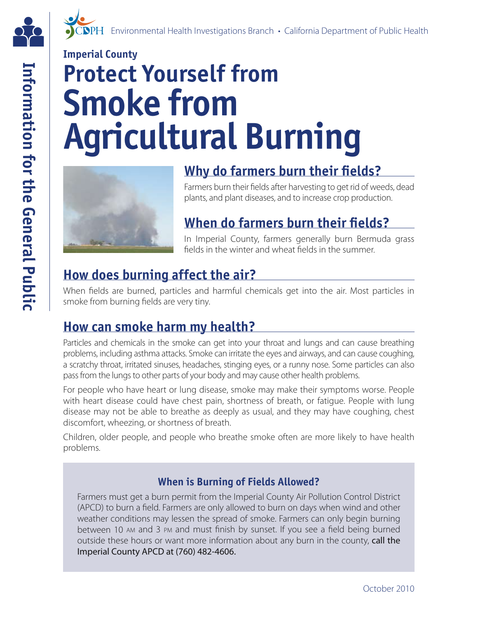

# **Imperial County Protect Yourself from Smoke from Agricultural Burning**



# **Why do farmers burn their felds?**

Farmers burn their felds after harvesting to get rid of weeds, dead plants, and plant diseases, and to increase crop production.

# **When do farmers burn their felds?**

In Imperial County, farmers generally burn Bermuda grass felds in the winter and wheat felds in the summer.

# **How does burning affect the air?**

When felds are burned, particles and harmful chemicals get into the air. Most particles in smoke from burning felds are very tiny.

# **How can smoke harm my health?**

Particles and chemicals in the smoke can get into your throat and lungs and can cause breathing problems, including asthma attacks. Smoke can irritate the eyes and airways, and can cause coughing, a scratchy throat, irritated sinuses, headaches, stinging eyes, or a runny nose. Some particles can also pass from the lungs to other parts of your body and may cause other health problems.

For people who have heart or lung disease, smoke may make their symptoms worse. People with heart disease could have chest pain, shortness of breath, or fatigue. People with lung disease may not be able to breathe as deeply as usual, and they may have coughing, chest discomfort, wheezing, or shortness of breath.

Children, older people, and people who breathe smoke often are more likely to have health problems.

#### **When is Burning of Fields Allowed?**

between 10 AM and 3 PM and must finish by sunset. If you see a field being burned Farmers must get a burn permit from the Imperial County Air Pollution Control District (APCD) to burn a field. Farmers are only allowed to burn on days when wind and other weather conditions may lessen the spread of smoke. Farmers can only begin burning outside these hours or want more information about any burn in the county, call the Imperial County APCD at (760) 482-4606.